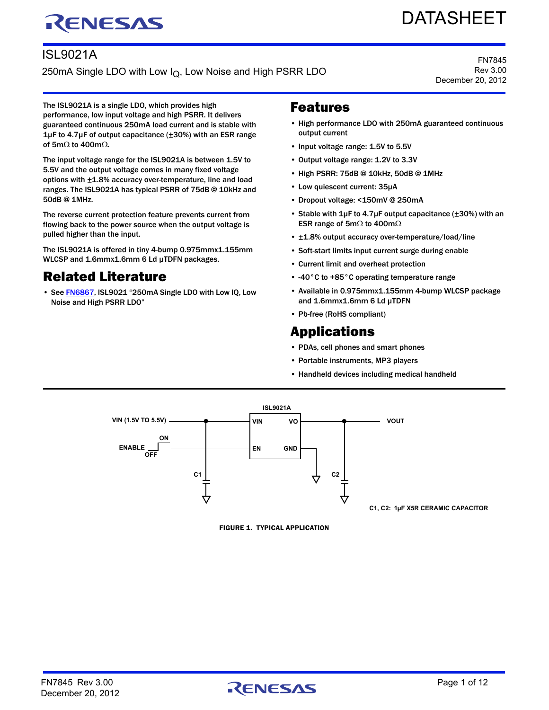# RENESAS

## ISL9021A

250mA Single LDO with Low I<sub>Q</sub>, Low Noise and High PSRR LDO

FN7845 Rev 3.00 December 20, 2012

DATASHEET

The ISL9021A is a single LDO, which provides high performance, low input voltage and high PSRR. It delivers guaranteed continuous 250mA load current and is stable with 1µF to 4.7µF of output capacitance (±30%) with an ESR range of 5m $\Omega$  to 400m $\Omega$ .

The input voltage range for the ISL9021A is between 1.5V to 5.5V and the output voltage comes in many fixed voltage options with ±1.8% accuracy over-temperature, line and load ranges. The ISL9021A has typical PSRR of 75dB @ 10kHz and 50dB @ 1MHz.

The reverse current protection feature prevents current from flowing back to the power source when the output voltage is pulled higher than the input.

The ISL9021A is offered in tiny 4-bump 0.975mmx1.155mm WLCSP and 1.6mmx1.6mm 6 Ld µTDFN packages.

## Related Literature

• See [FN6867](http://www.intersil.com/data/fn/fn6867.pdf), ISL9021 "250mA Single LDO with Low IQ, Low Noise and High PSRR LDO"

#### <span id="page-0-0"></span>Features

- High performance LDO with 250mA guaranteed continuous output current
- Input voltage range: 1.5V to 5.5V
- Output voltage range: 1.2V to 3.3V
- High PSRR: 75dB @ 10kHz, 50dB @ 1MHz
- Low quiescent current: 35µA
- Dropout voltage: <150mV @ 250mA
- Stable with 1µF to 4.7µF output capacitance (±30%) with an ESR range of 5m $\Omega$  to 400m $\Omega$
- ±1.8% output accuracy over-temperature/load/line
- Soft-start limits input current surge during enable
- Current limit and overheat protection
- -40°C to +85°C operating temperature range
- Available in 0.975mmx1.155mm 4-bump WLCSP package and 1.6mmx1.6mm 6 Ld µTDFN
- Pb-free (RoHS compliant)

## **Applications**

- PDAs, cell phones and smart phones
- Portable instruments, MP3 players
- Handheld devices including medical handheld



FIGURE 1. TYPICAL APPLICATION

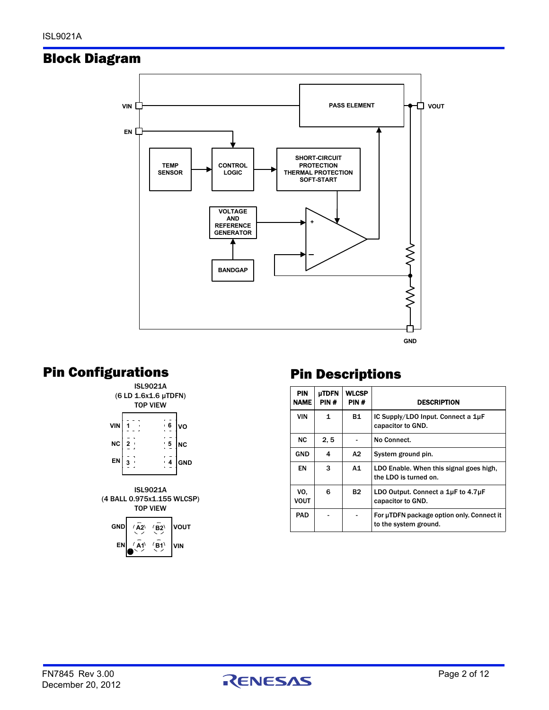## Block Diagram



## Pin Configurations





## Pin Descriptions

| <b>PIN</b><br>NAME | <b>µTDFN</b><br>PIN# | <b>WLCSP</b><br>PIN# | <b>DESCRIPTION</b>                                                 |
|--------------------|----------------------|----------------------|--------------------------------------------------------------------|
| VIN                | 1                    | <b>B1</b>            | IC Supply/LDO Input. Connect a 1µF<br>capacitor to GND.            |
| NC.                | 2.5                  |                      | No Connect.                                                        |
| <b>GND</b>         | 4                    | А2                   | System ground pin.                                                 |
| EN                 | 3                    | A1                   | LDO Enable. When this signal goes high,<br>the LDO is turned on.   |
| VO.<br>VOUT        | 6                    | <b>B2</b>            | LDO Output. Connect a $1\mu$ F to $4.7\mu$ F<br>capacitor to GND.  |
| <b>PAD</b>         |                      |                      | For µTDFN package option only. Connect it<br>to the system ground. |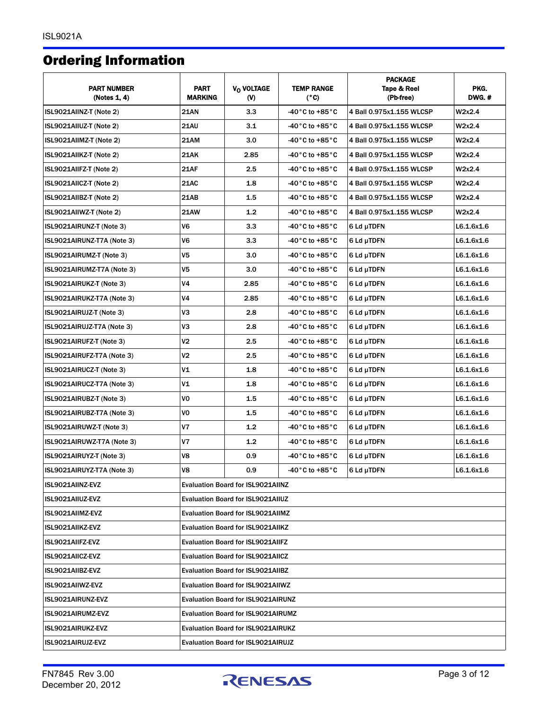## <span id="page-2-0"></span>Ordering Information

| <b>PART NUMBER</b><br>(Notes 1, 4) | <b>PART</b><br><b>MARKING</b>             | V <sub>O</sub> VOLTAGE<br>$(V)$          | <b>TEMP RANGE</b><br>(°C)                                    | <b>PACKAGE</b><br>Tape & Reel<br>(Pb-free) | PKG.<br>DWG.# |
|------------------------------------|-------------------------------------------|------------------------------------------|--------------------------------------------------------------|--------------------------------------------|---------------|
| ISL9021AIINZ-T (Note 2)            | <b>21AN</b>                               | 3.3                                      | $-40\degree$ C to $+85\degree$ C<br>4 Ball 0.975x1.155 WLCSP |                                            | W2x2.4        |
| ISL9021AIIUZ-T (Note 2)            | <b>21AU</b>                               | 3.1                                      | -40°C to +85°C                                               | 4 Ball 0.975x1.155 WLCSP<br>W2x2.4         |               |
| ISL9021AIIMZ-T (Note 2)            | <b>21AM</b>                               | 3.0                                      | -40 $^{\circ}$ C to +85 $^{\circ}$ C                         | 4 Ball 0.975x1.155 WLCSP                   | W2x2.4        |
| ISL9021AIIKZ-T (Note 2)            | 21AK                                      | 2.85                                     | -40°C to +85°C                                               | 4 Ball 0.975x1.155 WLCSP                   | W2x2.4        |
| ISL9021AIIFZ-T (Note 2)            | <b>21AF</b>                               | 2.5                                      | -40°C to +85°C                                               | 4 Ball 0.975x1.155 WLCSP                   | W2x2.4        |
| ISL9021AIICZ-T (Note 2)            | <b>21AC</b>                               | 1.8                                      | -40 $^{\circ}$ C to +85 $^{\circ}$ C                         | 4 Ball 0.975x1.155 WLCSP                   | W2x2.4        |
| ISL9021AIIBZ-T (Note 2)            | 21AB                                      | $1.5\,$                                  | -40°C to +85°C                                               | 4 Ball 0.975x1.155 WLCSP                   | W2x2.4        |
| ISL9021AIIWZ-T (Note 2)            | <b>21AW</b>                               | 1.2                                      | -40°C to +85°C                                               | 4 Ball 0.975x1.155 WLCSP                   | W2x2.4        |
| ISL9021AIRUNZ-T (Note 3)           | V6                                        | 3.3                                      | $-40\degree$ C to $+85\degree$ C                             | 6 Ld µTDFN                                 | L6.1.6x1.6    |
| ISL9021AIRUNZ-T7A (Note 3)         | V6                                        | 3.3                                      | -40°C to +85°C                                               | 6 Ld µTDFN                                 | L6.1.6x1.6    |
| ISL9021AIRUMZ-T (Note 3)           | V5                                        | 3.0                                      | $-40\degree$ C to $+85\degree$ C                             | 6 Ld µTDFN                                 | L6.1.6x1.6    |
| ISL9021AIRUMZ-T7A (Note 3)         | V5                                        | 3.0                                      | -40 $^{\circ}$ C to +85 $^{\circ}$ C                         | 6 Ld µTDFN                                 | L6.1.6x1.6    |
| ISL9021AIRUKZ-T (Note 3)           | ٧4                                        | 2.85                                     | -40 $^{\circ}$ C to +85 $^{\circ}$ C                         | 6 Ld µTDFN                                 | L6.1.6x1.6    |
| ISL9021AIRUKZ-T7A (Note 3)         | ٧4                                        | 2.85                                     | -40°C to +85°C                                               | 6 Ld µTDFN                                 | L6.1.6x1.6    |
| ISL9021AIRUJZ-T (Note 3)           | VЗ                                        | 2.8                                      | -40 $^{\circ}$ C to +85 $^{\circ}$ C                         | 6 Ld µTDFN                                 | L6.1.6x1.6    |
| ISL9021AIRUJZ-T7A (Note 3)         | VЗ                                        | 2.8                                      | -40°C to +85°C                                               | 6 Ld µTDFN                                 | L6.1.6x1.6    |
| ISL9021AIRUFZ-T (Note 3)           | ٧2                                        | 2.5                                      | -40°C to +85°C                                               | 6 Ld µTDFN                                 | L6.1.6x1.6    |
| ISL9021AIRUFZ-T7A (Note 3)         | ٧2                                        | 2.5                                      | -40 $^{\circ}$ C to +85 $^{\circ}$ C                         | 6 Ld µTDFN                                 | L6.1.6x1.6    |
| ISL9021AIRUCZ-T (Note 3)           | ٧1                                        | 1.8                                      | -40°C to +85°C                                               | 6 Ld µTDFN                                 | L6.1.6x1.6    |
| ISL9021AIRUCZ-T7A (Note 3)         | ٧1                                        | 1.8                                      | -40°C to +85°C                                               | 6 Ld µTDFN                                 | L6.1.6x1.6    |
| ISL9021AIRUBZ-T (Note 3)           | VO                                        | 1.5                                      | -40 $^{\circ}$ C to +85 $^{\circ}$ C                         | 6 Ld µTDFN                                 | L6.1.6x1.6    |
| ISL9021AIRUBZ-T7A (Note 3)         | VO                                        | $1.5\,$                                  | -40°C to +85°C                                               | 6 Ld µTDFN                                 | L6.1.6x1.6    |
| ISL9021AIRUWZ-T (Note 3)           | ٧7                                        | 1.2                                      | -40°C to +85°C                                               | 6 Ld µTDFN                                 | L6.1.6x1.6    |
| ISL9021AIRUWZ-T7A (Note 3)         | ٧7                                        | 1.2                                      | $-40\degree$ C to $+85\degree$ C                             | 6 Ld µTDFN                                 | L6.1.6x1.6    |
| ISL9021AIRUYZ-T (Note 3)           | ٧8                                        | 0.9                                      | $-40\degree$ C to $+85\degree$ C                             | 6 Ld µTDFN                                 | L6.1.6x1.6    |
| ISL9021AIRUYZ-T7A (Note 3)         | ٧8                                        | 0.9                                      | -40 $^{\circ}$ C to +85 $^{\circ}$ C                         | 6 Ld µTDFN                                 | L6.1.6x1.6    |
| ISL9021AIINZ-EVZ                   |                                           | <b>Evaluation Board for ISL9021AIINZ</b> |                                                              |                                            |               |
| ISL9021AIIUZ-EVZ                   |                                           | <b>Evaluation Board for ISL9021AIIUZ</b> |                                                              |                                            |               |
| ISL9021AIIMZ-EVZ                   |                                           | <b>Evaluation Board for ISL9021AIIMZ</b> |                                                              |                                            |               |
| ISL9021AIIKZ-EVZ                   | <b>Evaluation Board for ISL9021AIIKZ</b>  |                                          |                                                              |                                            |               |
| ISL9021AIIFZ-EVZ                   | <b>Evaluation Board for ISL9021AIIFZ</b>  |                                          |                                                              |                                            |               |
| ISL9021AIICZ-EVZ                   | <b>Evaluation Board for ISL9021AIICZ</b>  |                                          |                                                              |                                            |               |
| ISL9021AIIBZ-EVZ                   | <b>Evaluation Board for ISL9021AIIBZ</b>  |                                          |                                                              |                                            |               |
| ISL9021AIIWZ-EVZ                   | <b>Evaluation Board for ISL9021AIIWZ</b>  |                                          |                                                              |                                            |               |
| ISL9021AIRUNZ-EVZ                  | <b>Evaluation Board for ISL9021AIRUNZ</b> |                                          |                                                              |                                            |               |
| ISL9021AIRUMZ-EVZ                  | <b>Evaluation Board for ISL9021AIRUMZ</b> |                                          |                                                              |                                            |               |
| ISL9021AIRUKZ-EVZ                  | Evaluation Board for ISL9021AIRUKZ        |                                          |                                                              |                                            |               |
| ISL9021AIRUJZ-EVZ                  | <b>Evaluation Board for ISL9021AIRUJZ</b> |                                          |                                                              |                                            |               |

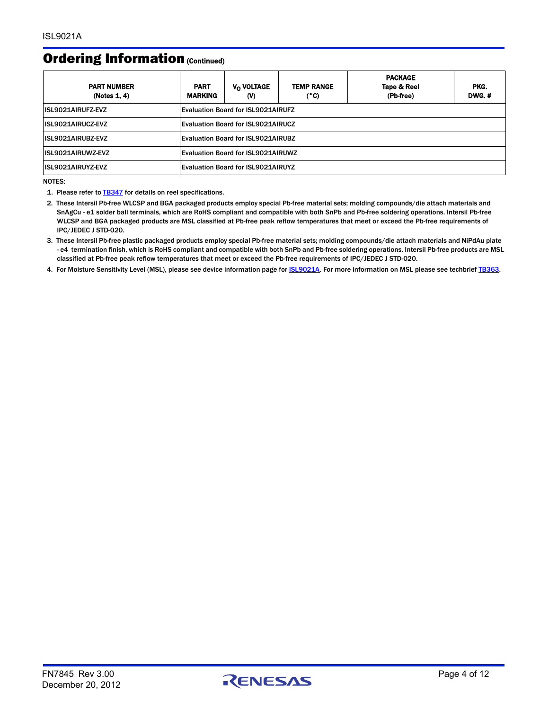#### Ordering Information (Continued)

| <b>PART NUMBER</b><br>(Notes 1, 4) | <b>PART</b><br><b>MARKING</b>             | V <sub>O</sub> VOLTAGE<br>$\mathbf{w}$    | <b>TEMP RANGE</b><br>(°C) | <b>PACKAGE</b><br>Tape & Reel<br>(Pb-free) | PKG.<br><b>DWG.#</b> |
|------------------------------------|-------------------------------------------|-------------------------------------------|---------------------------|--------------------------------------------|----------------------|
| <b>ISL9021AIRUFZ-EVZ</b>           | <b>Evaluation Board for ISL9021AIRUFZ</b> |                                           |                           |                                            |                      |
| <b>ISL9021AIRUCZ-EVZ</b>           | <b>Evaluation Board for ISL9021AIRUCZ</b> |                                           |                           |                                            |                      |
| <b>ISL9021AIRUBZ-EVZ</b>           | Evaluation Board for ISL9021AIRUBZ        |                                           |                           |                                            |                      |
| <b>ISL9021AIRUWZ-EVZ</b>           | Evaluation Board for ISL9021AIRUWZ        |                                           |                           |                                            |                      |
| ISL9021AIRUYZ-EVZ                  |                                           | <b>Evaluation Board for ISL9021AIRUYZ</b> |                           |                                            |                      |

NOTES:

<span id="page-3-0"></span>1. Please refer to **[TB347](http://www.intersil.com/data/tb/tb347.pdf)** for details on reel specifications.

<span id="page-3-2"></span>2. These Intersil Pb-free WLCSP and BGA packaged products employ special Pb-free material sets; molding compounds/die attach materials and SnAgCu - e1 solder ball terminals, which are RoHS compliant and compatible with both SnPb and Pb-free soldering operations. Intersil Pb-free WLCSP and BGA packaged products are MSL classified at Pb-free peak reflow temperatures that meet or exceed the Pb-free requirements of IPC/JEDEC J STD-020.

<span id="page-3-3"></span>3. These Intersil Pb-free plastic packaged products employ special Pb-free material sets; molding compounds/die attach materials and NiPdAu plate - e4 termination finish, which is RoHS compliant and compatible with both SnPb and Pb-free soldering operations. Intersil Pb-free products are MSL classified at Pb-free peak reflow temperatures that meet or exceed the Pb-free requirements of IPC/JEDEC J STD-020.

<span id="page-3-1"></span>4. For Moisture Sensitivity Level (MSL), please see device information page for **ISL9021A**. For more information on MSL please see techbrief [TB363.](http://www.intersil.com/data/tb/tb363.pdf)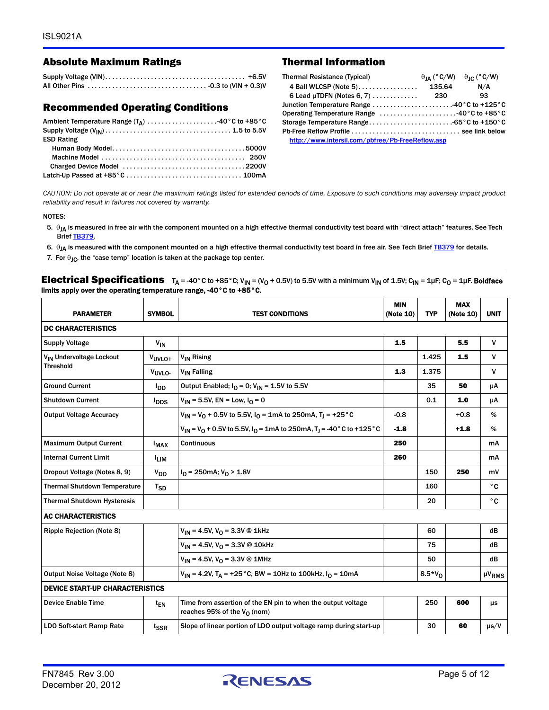#### Absolute Maximum Ratings Thermal Information

#### Recommended Operating Conditions

| Ambient Temperature Range $(T_{\Delta})$ 40°C to +85°C |  |
|--------------------------------------------------------|--|
|                                                        |  |
| <b>ESD Rating</b>                                      |  |
|                                                        |  |
|                                                        |  |
|                                                        |  |
|                                                        |  |

| <b>Thermal Resistance (Typical)</b>              | $\theta_{IA}$ (°C/W) $\theta_{IC}$ (°C/W) |      |
|--------------------------------------------------|-------------------------------------------|------|
| 4 Ball WLCSP (Note 5)                            | 135.64                                    | N/A  |
|                                                  |                                           | - 93 |
| Junction Temperature Range 40°C to +125°C        |                                           |      |
| Operating Temperature Range 40°C to +85°C        |                                           |      |
|                                                  |                                           |      |
|                                                  |                                           |      |
| http://www.intersil.com/pbfree/Pb-FreeReflow.asp |                                           |      |

*CAUTION: Do not operate at or near the maximum ratings listed for extended periods of time. Exposure to such conditions may adversely impact product reliability and result in failures not covered by warranty.*

#### NOTES:

- <span id="page-4-0"></span>5.  $\theta_{JA}$  is measured in free air with the component mounted on a high effective thermal conductivity test board with "direct attach" features. See Tech Brief [TB379](http://www.intersil.com/data/tb/tb379.pdf).
- <span id="page-4-1"></span>6.  $\theta_{JA}$  is measured with the component mounted on a high effective thermal conductivity test board in free air. See Tech Brief [TB379](http://www.intersil.com/data/tb/tb379.pdf) for details.
- <span id="page-4-2"></span>7. For  $\theta_{IC}$ , the "case temp" location is taken at the package top center.

**Electrical Specifications**  $T_A = 40^{\circ}$ C to +85 $^{\circ}$ C; V<sub>IN</sub> = (V<sub>O</sub> + 0.5V) to 5.5V with a minimum V<sub>IN</sub> of 1.5V; C<sub>IN</sub> = 1µF; C<sub>O</sub> = 1µF. Boldface limits apply over the operating temperature range, -40°C to +85°C.

| <b>PARAMETER</b>                       | <b>SYMBOL</b>           | <b>TEST CONDITIONS</b>                                                                                | <b>MIN</b><br>(Note 10) | <b>TYP</b> | <b>MAX</b><br>(Note 10) | <b>UNIT</b>            |  |  |
|----------------------------------------|-------------------------|-------------------------------------------------------------------------------------------------------|-------------------------|------------|-------------------------|------------------------|--|--|
| <b>DC CHARACTERISTICS</b>              |                         |                                                                                                       |                         |            |                         |                        |  |  |
| <b>Supply Voltage</b>                  | $V_{IN}$                |                                                                                                       | 1.5                     |            | 5.5                     | V                      |  |  |
| V <sub>IN</sub> Undervoltage Lockout   | $VUVLO+$                | V <sub>IN</sub> Rising                                                                                |                         | 1.425      | 1.5                     | v                      |  |  |
| <b>Threshold</b>                       | V <sub>UVLO-</sub>      | V <sub>IN</sub> Falling                                                                               | 1.3                     | 1.375      |                         | v                      |  |  |
| <b>Ground Current</b>                  | l <sub>DD</sub>         | Output Enabled; $I_0 = 0$ ; $V_{IN} = 1.5V$ to 5.5V                                                   |                         | 35         | 50                      | μA                     |  |  |
| <b>Shutdown Current</b>                | <b>l</b> <sub>DDS</sub> | $V_{1N}$ = 5.5V, EN = Low, $I_{O}$ = 0                                                                |                         | 0.1        | 1.0                     | μA                     |  |  |
| <b>Output Voltage Accuracy</b>         |                         | $V_{1N} = V_0 + 0.5V$ to 5.5V, $I_0 = 1$ mA to 250mA, T <sub>J</sub> = +25 °C                         | $-0.8$                  |            | $+0.8$                  | %                      |  |  |
|                                        |                         | $V_{1N}$ = $V_{0}$ + 0.5V to 5.5V, $I_{0}$ = 1mA to 250mA, T <sub>1</sub> = -40 °C to +125 °C         | $-1.8$                  |            | $+1.8$                  | %                      |  |  |
| <b>Maximum Output Current</b>          | $I_{MAX}$               | <b>Continuous</b>                                                                                     | 250                     |            |                         | mA                     |  |  |
| <b>Internal Current Limit</b>          | <sup>I</sup> LIM        |                                                                                                       | 260                     |            |                         | mA                     |  |  |
| Dropout Voltage (Notes 8, 9)           | V <sub>DO</sub>         | $I_0$ = 250mA; $V_0$ > 1.8V                                                                           |                         | 150        | 250                     | mV                     |  |  |
| <b>Thermal Shutdown Temperature</b>    | T <sub>SD</sub>         |                                                                                                       |                         | 160        |                         | °C                     |  |  |
| <b>Thermal Shutdown Hysteresis</b>     |                         |                                                                                                       |                         | 20         |                         | °C                     |  |  |
| <b>AC CHARACTERISTICS</b>              |                         |                                                                                                       |                         |            |                         |                        |  |  |
| <b>Ripple Rejection (Note 8)</b>       |                         | $V_{1N}$ = 4.5V, $V_{0}$ = 3.3V @ 1kHz                                                                |                         | 60         |                         | dB                     |  |  |
|                                        |                         | $V_{IN}$ = 4.5V, $V_{O}$ = 3.3V @ 10kHz                                                               |                         | 75         |                         | dB                     |  |  |
|                                        |                         | $V_{IN}$ = 4.5V, $V_{O}$ = 3.3V @ 1MHz                                                                |                         | 50         |                         | dB                     |  |  |
| Output Noise Voltage (Note 8)          |                         | $V_{1N}$ = 4.2V, T <sub>A</sub> = +25°C, BW = 10Hz to 100kHz, $I_{0}$ = 10mA                          |                         | $8.5*V_0$  |                         | $\mu$ V <sub>RMS</sub> |  |  |
| <b>DEVICE START-UP CHARACTERISTICS</b> |                         |                                                                                                       |                         |            |                         |                        |  |  |
| <b>Device Enable Time</b>              | t <sub>EN</sub>         | Time from assertion of the EN pin to when the output voltage<br>reaches 95% of the $V_{\Omega}$ (nom) |                         | 250        | 600                     | μs                     |  |  |
| <b>LDO Soft-start Ramp Rate</b>        | tssr                    | Slope of linear portion of LDO output voltage ramp during start-up                                    |                         | 30         | 60                      | $\mu$ s/V              |  |  |

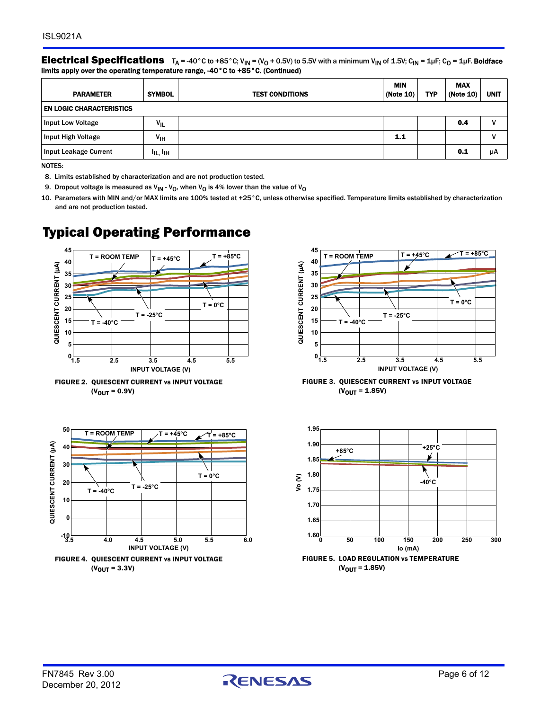**Electrical Specifications**  $T_A = 40^{\circ}$ C to +85 $^{\circ}$ C; V<sub>IN</sub> = (V<sub>O</sub> + 0.5V) to 5.5V with a minimum V<sub>IN</sub> of 1.5V; C<sub>IN</sub> = 1µF; C<sub>O</sub> = 1µF. Boldface limits apply over the operating temperature range, -40°C to +85°C. (Continued)

| <b>PARAMETER</b>                | <b>SYMBOL</b>                    | <b>TEST CONDITIONS</b> | <b>MIN</b><br>(Note 10) | <b>TYP</b> | <b>MAX</b><br>(Note 10) | <b>UNIT</b> |
|---------------------------------|----------------------------------|------------------------|-------------------------|------------|-------------------------|-------------|
| <b>EN LOGIC CHARACTERISTICS</b> |                                  |                        |                         |            |                         |             |
| <b>Input Low Voltage</b>        | $V_{IL}$                         |                        |                         |            | 0.4                     | v           |
| Input High Voltage              | V <sub>IH</sub>                  |                        | 1.1                     |            |                         | v           |
| Input Leakage Current           | <sup>I</sup> IL, <sup>I</sup> IH |                        |                         |            | 0.1                     | μA          |

NOTES:

<span id="page-5-1"></span>8. Limits established by characterization and are not production tested.

<span id="page-5-2"></span>9. Dropout voltage is measured as  $V_{IN}$  -  $V_O$ , when  $V_O$  is 4% lower than the value of  $V_O$ 

<span id="page-5-0"></span>10. Parameters with MIN and/or MAX limits are 100% tested at +25°C, unless otherwise specified. Temperature limits established by characterization and are not production tested.

## Typical Operating Performance







FIGURE 3. QUIESCENT CURRENT vs INPUT VOLTAGE  $(V_{\text{OUT}} = 1.85V)$ 



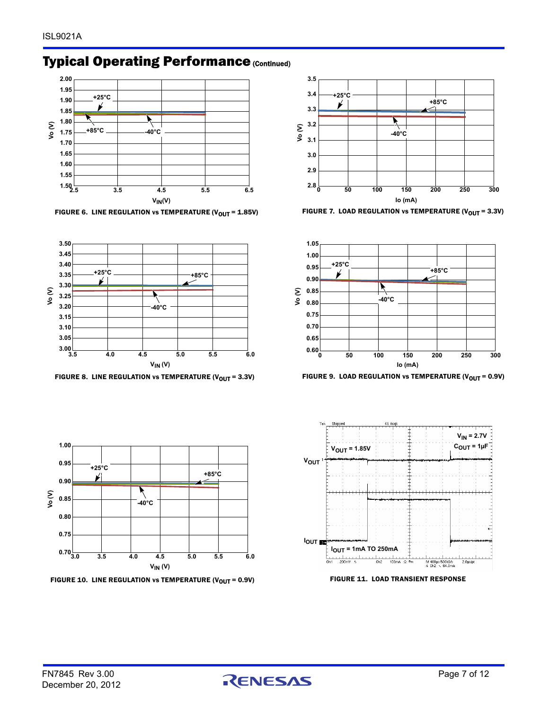## **Typical Operating Performance (Continued)**







FIGURE 8. LINE REGULATION vs TEMPERATURE (V<sub>OUT</sub> = 3.3V) FIGURE 9. LOAD REGULATION vs TEMPERATURE (V<sub>OUT</sub> = 0.9V)









FIGURE 10. LINE REGULATION vs TEMPERATURE (V<sub>OUT</sub> = 0.9V) FIGURE 11. LOAD TRANSIENT RESPONSE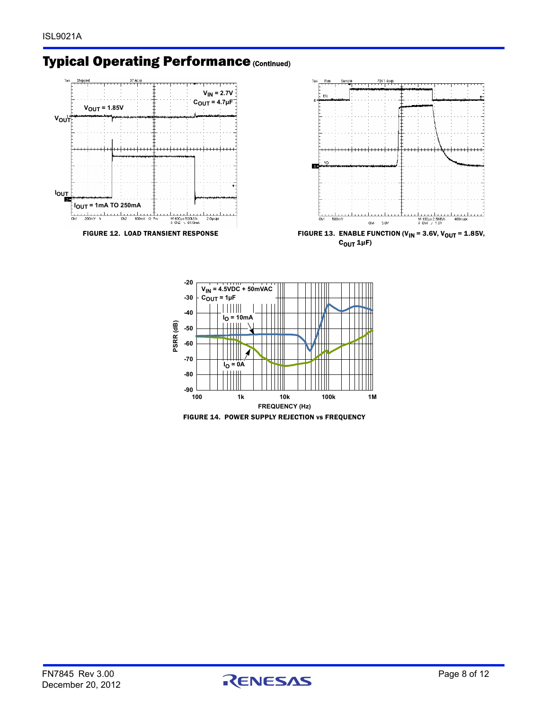## **Typical Operating Performance (Continued)**





FIGURE 14. POWER SUPPLY REJECTION vs FREQUENCY

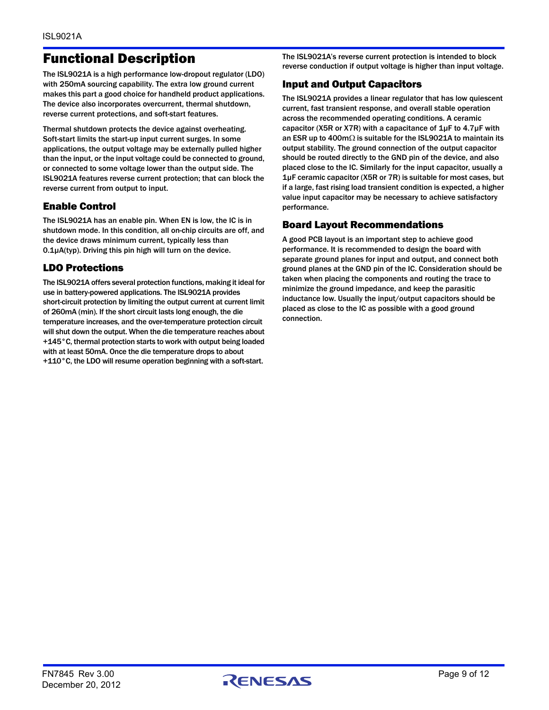## Functional Description

The ISL9021A is a high performance low-dropout regulator (LDO) with 250mA sourcing capability. The extra low ground current makes this part a good choice for handheld product applications. The device also incorporates overcurrent, thermal shutdown, reverse current protections, and soft-start features.

Thermal shutdown protects the device against overheating. Soft-start limits the start-up input current surges. In some applications, the output voltage may be externally pulled higher than the input, or the input voltage could be connected to ground, or connected to some voltage lower than the output side. The ISL9021A features reverse current protection; that can block the reverse current from output to input.

#### Enable Control

The ISL9021A has an enable pin. When EN is low, the IC is in shutdown mode. In this condition, all on-chip circuits are off, and the device draws minimum current, typically less than 0.1µA(typ). Driving this pin high will turn on the device.

#### LDO Protections

The ISL9021A offers several protection functions, making it ideal for use in battery-powered applications. The ISL9021A provides short-circuit protection by limiting the output current at current limit of 260mA (min). If the short circuit lasts long enough, the die temperature increases, and the over-temperature protection circuit will shut down the output. When the die temperature reaches about +145°C, thermal protection starts to work with output being loaded with at least 50mA. Once the die temperature drops to about +110°C, the LDO will resume operation beginning with a soft-start.

The ISL9021A's reverse current protection is intended to block reverse conduction if output voltage is higher than input voltage.

#### Input and Output Capacitors

The ISL9021A provides a linear regulator that has low quiescent current, fast transient response, and overall stable operation across the recommended operating conditions. A ceramic capacitor (X5R or X7R) with a capacitance of  $1\mu$ F to 4.7 $\mu$ F with an ESR up to 400m $\Omega$  is suitable for the ISL9021A to maintain its output stability. The ground connection of the output capacitor should be routed directly to the GND pin of the device, and also placed close to the IC. Similarly for the input capacitor, usually a 1µF ceramic capacitor (X5R or 7R) is suitable for most cases, but if a large, fast rising load transient condition is expected, a higher value input capacitor may be necessary to achieve satisfactory performance.

#### Board Layout Recommendations

A good PCB layout is an important step to achieve good performance. It is recommended to design the board with separate ground planes for input and output, and connect both ground planes at the GND pin of the IC. Consideration should be taken when placing the components and routing the trace to minimize the ground impedance, and keep the parasitic inductance low. Usually the input/output capacitors should be placed as close to the IC as possible with a good ground connection.

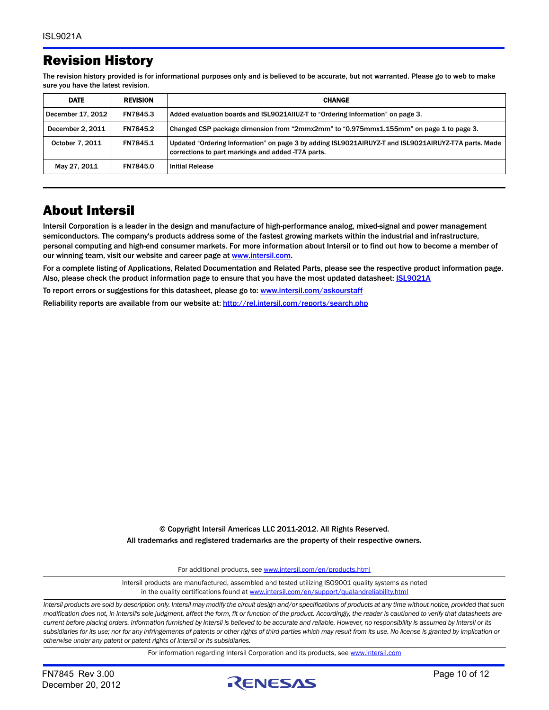## Revision History

The revision history provided is for informational purposes only and is believed to be accurate, but not warranted. Please go to web to make sure you have the latest revision.

| <b>DATE</b>       | <b>REVISION</b> | <b>CHANGE</b>                                                                                                                                              |  |
|-------------------|-----------------|------------------------------------------------------------------------------------------------------------------------------------------------------------|--|
| December 17, 2012 | FN7845.3        | Added evaluation boards and ISL9021AIIUZ-T to "Ordering Information" on page 3.                                                                            |  |
| December 2, 2011  | <b>FN7845.2</b> | Changed CSP package dimension from "2mmx2mm" to "0.975mmx1.155mm" on page 1 to page 3.                                                                     |  |
| October 7, 2011   | FN7845.1        | Updated "Ordering Information" on page 3 by adding ISL9021AIRUYZ-T and ISL9021AIRUYZ-T7A parts. Made<br>corrections to part markings and added -T7A parts. |  |
| May 27, 2011      | <b>FN7845.0</b> | <b>Initial Release</b>                                                                                                                                     |  |

## About Intersil

Intersil Corporation is a leader in the design and manufacture of high-performance analog, mixed-signal and power management semiconductors. The company's products address some of the fastest growing markets within the industrial and infrastructure, personal computing and high-end consumer markets. For more information about Intersil or to find out how to become a member of our winning team, visit our website and career page at <www.intersil.com>.

For a complete listing of Applications, Related Documentation and Related Parts, please see the respective product information page. Also, please check the product information page to ensure that you have the most updated datasheet: **ISL9021A** 

To report errors or suggestions for this datasheet, please go to: <www.intersil.com/askourstaff>

Reliability reports are available from our website at: <http://rel.intersil.com/reports/search.php>

© Copyright Intersil Americas LLC 2011-2012. All Rights Reserved. All trademarks and registered trademarks are the property of their respective owners.

For additional products, see [www.intersil.com/en/products.html](http://www.intersil.com/en/products.html?utm_source=Intersil&utm_medium=datasheet&utm_campaign=disclaimer-ds-footer)

[Intersil products are manufactured, assembled and tested utilizing ISO9001 quality systems as noted](http://www.intersil.com/en/products.html?utm_source=Intersil&utm_medium=datasheet&utm_campaign=disclaimer-ds-footer) in the quality certifications found at [www.intersil.com/en/support/qualandreliability.html](http://www.intersil.com/en/support/qualandreliability.html?utm_source=Intersil&utm_medium=datasheet&utm_campaign=disclaimer-ds-footer)

*Intersil products are sold by description only. Intersil may modify the circuit design and/or specifications of products at any time without notice, provided that such modification does not, in Intersil's sole judgment, affect the form, fit or function of the product. Accordingly, the reader is cautioned to verify that datasheets are current before placing orders. Information furnished by Intersil is believed to be accurate and reliable. However, no responsibility is assumed by Intersil or its subsidiaries for its use; nor for any infringements of patents or other rights of third parties which may result from its use. No license is granted by implication or otherwise under any patent or patent rights of Intersil or its subsidiaries.*

For information regarding Intersil Corporation and its products, see [www.intersil.com](http://www.intersil.com?utm_source=intersil&utm_medium=datasheet&utm_campaign=disclaimer-ds-footer)

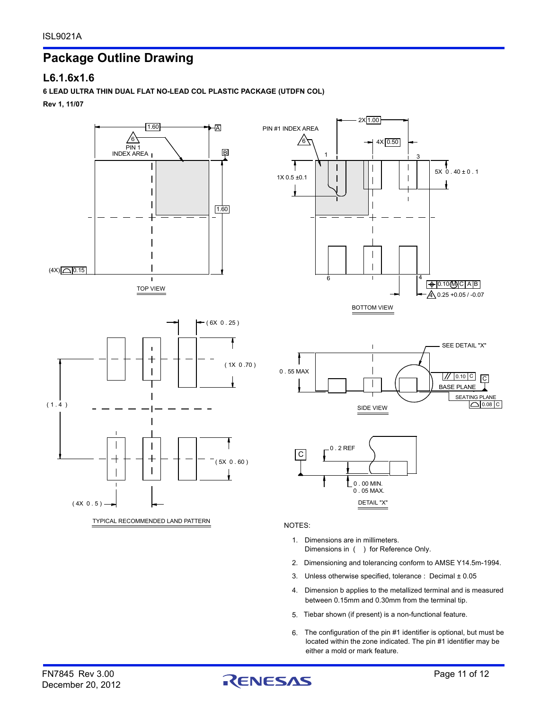## **Package Outline Drawing**

#### **L6.1.6x1.6**

#### **6 LEAD ULTRA THIN DUAL FLAT NO-LEAD COL PLASTIC PACKAGE (UTDFN COL)**

**Rev 1, 11/07**



#### NOTES:

- Dimensions in ( ) for Reference Only. 1. Dimensions are in millimeters.
- 2. Dimensioning and tolerancing conform to AMSE Y14.5m-1994.
- Unless otherwise specified, tolerance : Decimal ± 0.05 3.
- between 0.15mm and 0.30mm from the terminal tip. 4. Dimension b applies to the metallized terminal and is measured
- 5. Tiebar shown (if present) is a non-functional feature.
- located within the zone indicated. The pin #1 identifier may be The configuration of the pin #1 identifier is optional, but must be 6. either a mold or mark feature.



 $5X \overline{0}$  . 40 ± 0 . 1

ł

BASE PLANE

<u>4 0.25 +0.05 / -0.07</u>

0.10(M)C | A |B

4

3

S<sub>EA</sub>

 $1/10.10$  C  $\overline{C}$ 

SEE DETAIL "X"

0.08 C